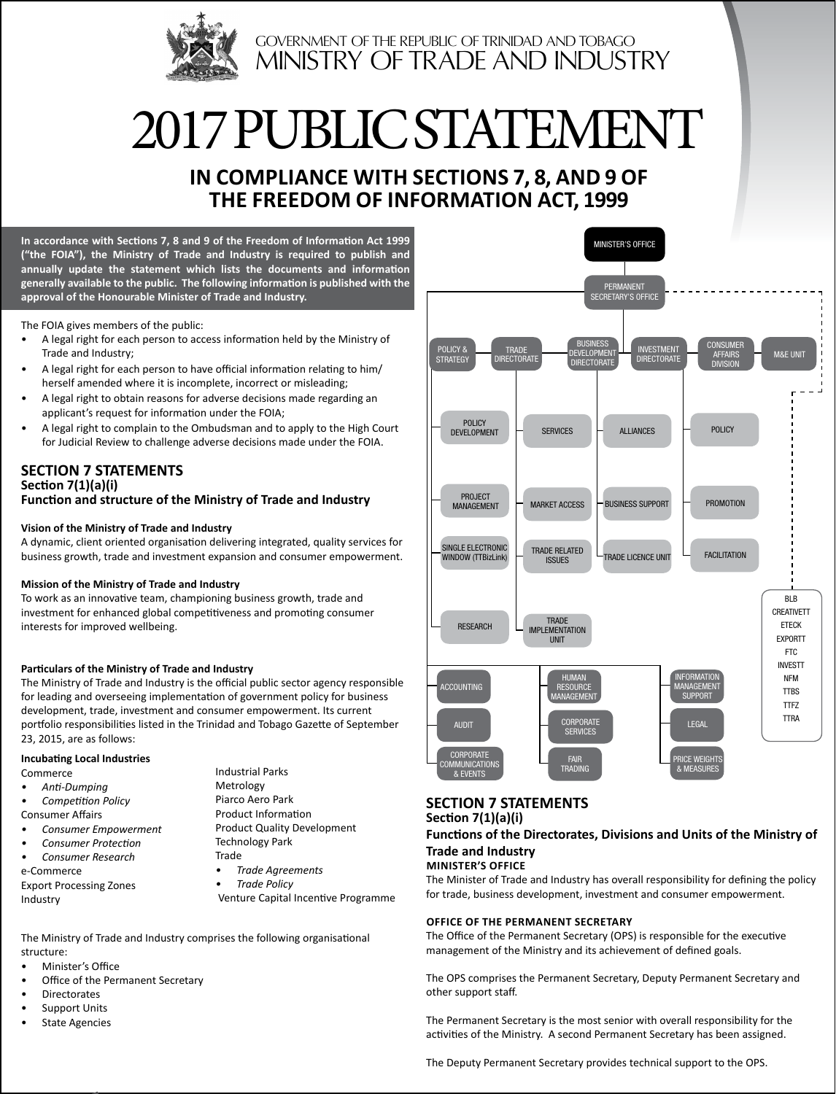

# 2017 pUBLIC STATEMENT

# **In Compliance with Sections 7, 8, and 9 of The Freedom of Information Act, 1999**

**In accordance with Sections 7, 8 and 9 of the Freedom of Information Act 1999 ("the FOIA"), the Ministry of Trade and Industry is required to publish and annually update the statement which lists the documents and information generally available to the public. The following information is published with the approval of the Honourable Minister of Trade and Industry.** 

The FOIA gives members of the public:

- A legal right for each person to access information held by the Ministry of Trade and Industry;
- A legal right for each person to have official information relating to him/ herself amended where it is incomplete, incorrect or misleading;
- A legal right to obtain reasons for adverse decisions made regarding an applicant's request for information under the FOIA;
- A legal right to complain to the Ombudsman and to apply to the High Court for Judicial Review to challenge adverse decisions made under the FOIA.

#### **SECTION 7 STATEMENTS Section 7(1)(a)(i) Function and structure of the Ministry of Trade and Industry**

#### **Vision of the Ministry of Trade and Industry**

A dynamic, client oriented organisation delivering integrated, quality services for business growth, trade and investment expansion and consumer empowerment.

#### **Mission of the Ministry of Trade and Industry**

To work as an innovative team, championing business growth, trade and investment for enhanced global competitiveness and promoting consumer interests for improved wellbeing.

#### **Particulars of the Ministry of Trade and Industry**

The Ministry of Trade and Industry is the official public sector agency responsible for leading and overseeing implementation of government policy for business development, trade, investment and consumer empowerment. Its current portfolio responsibilities listed in the Trinidad and Tobago Gazette of September 23, 2015, are as follows:

#### **Incubating Local Industries**

Commerce

- *• Anti-Dumping • Competition Policy*
- Consumer Affairs
- *• Consumer Empowerment*
- *• Consumer Protection • Consumer Research*
- e-Commerce

Export Processing Zones Industry

- Industrial Parks Metrology Piarco Aero Park Product Information Product Quality Development Technology Park
- Trade
- *• Trade Agreements • Trade Policy*

Venture Capital Incentive Programme

The Ministry of Trade and Industry comprises the following organisational structure:

- Minister's Office
- Office of the Permanent Secretary
- **Directorates**
- Support Units
- State Agencies



#### **SECTION 7 STATEMENTS Section 7(1)(a)(i)**

**Functions of the Directorates, Divisions and Units of the Ministry of Trade and Industry**

#### **Minister's Office**

The Minister of Trade and Industry has overall responsibility for defining the policy for trade, business development, investment and consumer empowerment.

#### **Office of the Permanent Secretary**

The Office of the Permanent Secretary (OPS) is responsible for the executive management of the Ministry and its achievement of defined goals.

The OPS comprises the Permanent Secretary, Deputy Permanent Secretary and other support staff.

The Permanent Secretary is the most senior with overall responsibility for the activities of the Ministry. A second Permanent Secretary has been assigned.

The Deputy Permanent Secretary provides technical support to the OPS.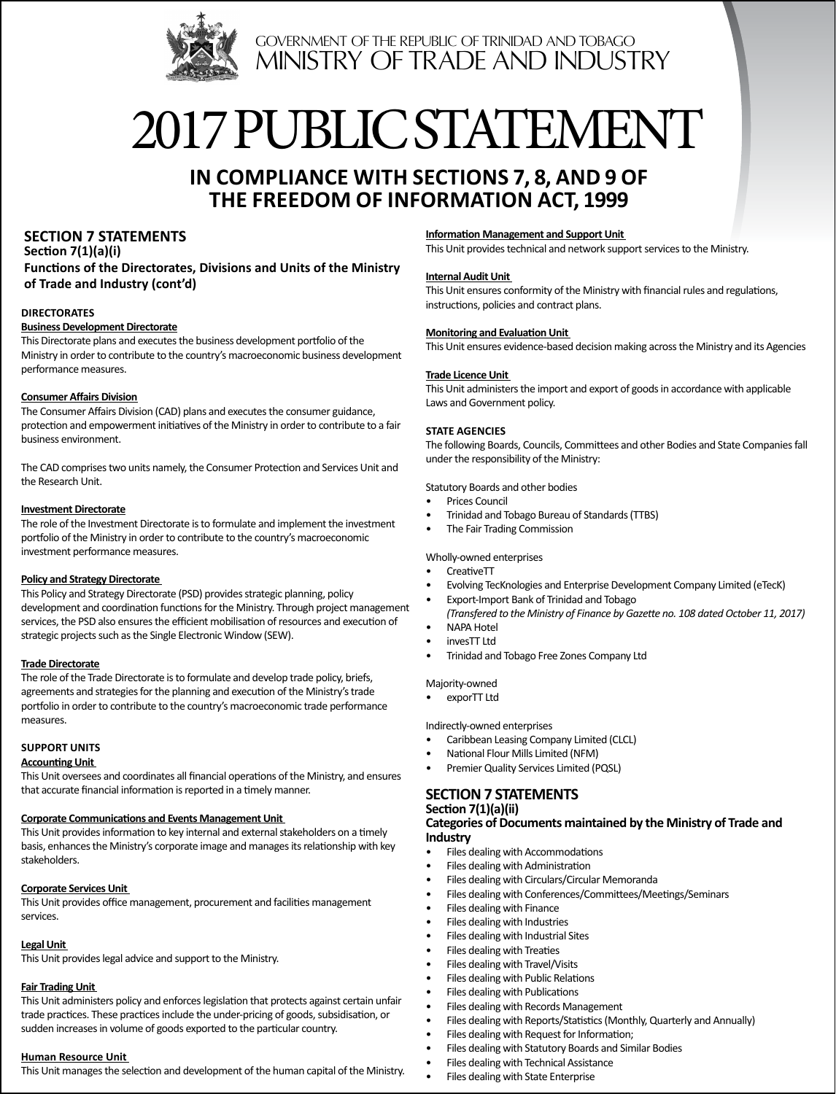

# 2017 pUBLIC STATEMENT

# **In Compliance with Sections 7, 8, and 9 of The Freedom of Information Act, 1999**

# **SECTION 7 STATEMENTS**

**Section 7(1)(a)(i) Functions of the Directorates, Divisions and Units of the Ministry of Trade and Industry (cont'd)**

#### **Directorates**

#### **Business Development Directorate**

This Directorate plans and executes the business development portfolio of the Ministry in order to contribute to the country's macroeconomic business development performance measures.

#### **Consumer Affairs Division**

The Consumer Affairs Division (CAD) plans and executes the consumer guidance, protection and empowerment initiatives of the Ministry in order to contribute to a fair business environment.

The CAD comprises two units namely, the Consumer Protection and Services Unit and the Research Unit.

#### **Investment Directorate**

The role of the Investment Directorate is to formulate and implement the investment portfolio of the Ministry in order to contribute to the country's macroeconomic investment performance measures.

#### **Policy and Strategy Directorate**

This Policy and Strategy Directorate (PSD) provides strategic planning, policy development and coordination functions for the Ministry. Through project management services, the PSD also ensures the efficient mobilisation of resources and execution of strategic projects such as the Single Electronic Window (SEW).

#### **Trade Directorate**

The role of the Trade Directorate is to formulate and develop trade policy, briefs, agreements and strategies for the planning and execution of the Ministry's trade portfolio in order to contribute to the country's macroeconomic trade performance measures.

#### **Support Units**

#### **Accounting Unit**

This Unit oversees and coordinates all financial operations of the Ministry, and ensures that accurate financial information is reported in a timely manner.

#### **Corporate Communications and Events Management Unit**

This Unit provides information to key internal and external stakeholders on a timely basis, enhances the Ministry's corporate image and manages its relationship with key stakeholders.

#### **Corporate Services Unit**

This Unit provides office management, procurement and facilities management services.

#### **Legal Unit**

This Unit provides legal advice and support to the Ministry.

#### **Fair Trading Unit**

This Unit administers policy and enforces legislation that protects against certain unfair trade practices. These practices include the under-pricing of goods, subsidisation, or sudden increases in volume of goods exported to the particular country.

#### **Human Resource Unit**

This Unit manages the selection and development of the human capital of the Ministry.

#### **Information Management and Support Unit**

This Unit provides technical and network support services to the Ministry.

#### **Internal Audit Unit**

This Unit ensures conformity of the Ministry with financial rules and regulations, instructions, policies and contract plans.

#### **Monitoring and Evaluation Unit**

This Unit ensures evidence-based decision making across the Ministry and its Agencies

#### **Trade Licence Unit**

This Unit administers the import and export of goods in accordance with applicable Laws and Government policy.

#### **STATE AGENCIES**

The following Boards, Councils, Committees and other Bodies and State Companies fall under the responsibility of the Ministry:

#### Statutory Boards and other bodies

- Prices Council
- Trinidad and Tobago Bureau of Standards (TTBS)
- The Fair Trading Commission

#### Wholly-owned enterprises

- CreativeTT
- Evolving TecKnologies and Enterprise Development Company Limited (eTecK)
- Export-Import Bank of Trinidad and Tobago *(Transfered to the Ministry of Finance by Gazette no. 108 dated October 11, 2017)*
- NAPA Hotel
- invesTT Ltd
- Trinidad and Tobago Free Zones Company Ltd

Majority-owned

• exporTT Ltd

Indirectly-owned enterprises

- Caribbean Leasing Company Limited (CLCL)
- National Flour Mills Limited (NFM)
- Premier Quality Services Limited (PQSL)

#### **SECTION 7 STATEMENTS**

#### **Section 7(1)(a)(ii)**

#### **Categories of Documents maintained by the Ministry of Trade and Industry**

- Files dealing with Accommodations
- Files dealing with Administration
- Files dealing with Circulars/Circular Memoranda
- Files dealing with Conferences/Committees/Meetings/Seminars
- Files dealing with Finance
- Files dealing with Industries
- Files dealing with Industrial Sites
- Files dealing with Treaties
- Files dealing with Travel/Visits
- Files dealing with Public Relations
- Files dealing with Publications
- Files dealing with Records Management
- Files dealing with Reports/Statistics (Monthly, Quarterly and Annually)
- Files dealing with Request for Information;
- Files dealing with Statutory Boards and Similar Bodies
- Files dealing with Technical Assistance
- Files dealing with State Enterprise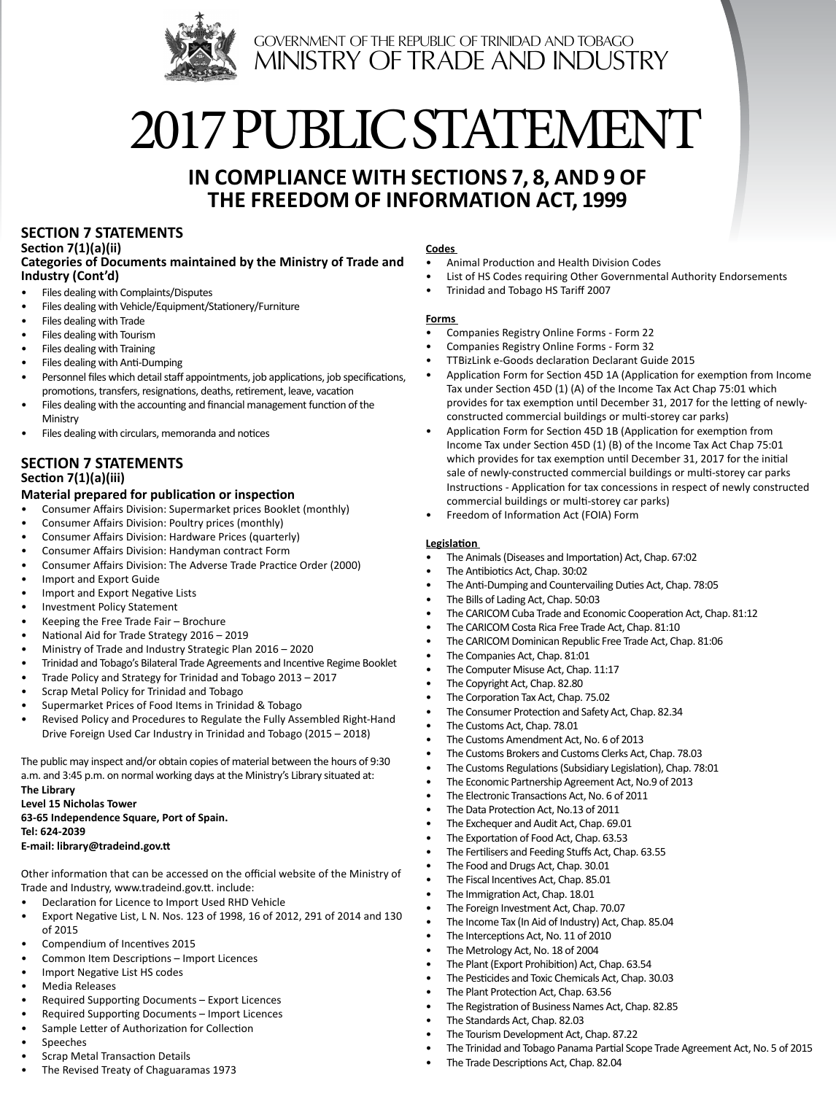

# 2017 pUBLIC STATEMENT

# **In Compliance with Sections 7, 8, and 9 of The Freedom of Information Act, 1999**

# **SECTION 7 STATEMENTS**

**Section 7(1)(a)(ii) Categories of Documents maintained by the Ministry of Trade and Industry (Cont'd)**

- Files dealing with Complaints/Disputes
- Files dealing with Vehicle/Equipment/Stationery/Furniture
- Files dealing with Trade
- Files dealing with Tourism
- Files dealing with Training
- Files dealing with Anti-Dumping
- Personnel files which detail staff appointments, job applications, job specifications, promotions, transfers, resignations, deaths, retirement, leave, vacation
- Files dealing with the accounting and financial management function of the Ministry
- Files dealing with circulars, memoranda and notices

## **SECTION 7 STATEMENTS Section 7(1)(a)(iii)**

#### **Material prepared for publication or inspection**

- Consumer Affairs Division: Supermarket prices Booklet (monthly)
- Consumer Affairs Division: Poultry prices (monthly)
- Consumer Affairs Division: Hardware Prices (quarterly)
- Consumer Affairs Division: Handyman contract Form
- Consumer Affairs Division: The Adverse Trade Practice Order (2000)
- Import and Export Guide
- Import and Export Negative Lists
- Investment Policy Statement
- Keeping the Free Trade Fair Brochure
- National Aid for Trade Strategy 2016 2019
- Ministry of Trade and Industry Strategic Plan 2016 2020
- Trinidad and Tobago's Bilateral Trade Agreements and Incentive Regime Booklet
- Trade Policy and Strategy for Trinidad and Tobago 2013 2017
- Scrap Metal Policy for Trinidad and Tobago
- Supermarket Prices of Food Items in Trinidad & Tobago
- Revised Policy and Procedures to Regulate the Fully Assembled Right-Hand Drive Foreign Used Car Industry in Trinidad and Tobago (2015 – 2018)

The public may inspect and/or obtain copies of material between the hours of 9:30 a.m. and 3:45 p.m. on normal working days at the Ministry's Library situated at:

**The Library Level 15 Nicholas Tower**

**63-65 Independence Square, Port of Spain. Tel: 624-2039**

#### **E-mail: library@tradeind.gov.tt**

Other information that can be accessed on the official website of the Ministry of Trade and Industry, www.tradeind.gov.tt. include:

- Declaration for Licence to Import Used RHD Vehicle
- Export Negative List, L N. Nos. 123 of 1998, 16 of 2012, 291 of 2014 and 130 of 2015
- Compendium of Incentives 2015
- Common Item Descriptions Import Licences
- Import Negative List HS codes
- Media Releases
- Required Supporting Documents Export Licences
- Required Supporting Documents Import Licences
- Sample Letter of Authorization for Collection
- **Speeches**
- Scrap Metal Transaction Details
- The Revised Treaty of Chaguaramas 1973

#### **Codes**

- Animal Production and Health Division Codes
- List of HS Codes requiring Other Governmental Authority Endorsements
- Trinidad and Tobago HS Tariff 2007

#### **Forms**

- Companies Registry Online Forms Form 22
- Companies Registry Online Forms Form 32
- TTBizLink e-Goods declaration Declarant Guide 2015
- Application Form for Section 45D 1A (Application for exemption from Income Tax under Section 45D (1) (A) of the Income Tax Act Chap 75:01 which provides for tax exemption until December 31, 2017 for the letting of newlyconstructed commercial buildings or multi-storey car parks)
- Application Form for Section 45D 1B (Application for exemption from Income Tax under Section 45D (1) (B) of the Income Tax Act Chap 75:01 which provides for tax exemption until December 31, 2017 for the initial sale of newly-constructed commercial buildings or multi-storey car parks Instructions - Application for tax concessions in respect of newly constructed commercial buildings or multi-storey car parks)
- Freedom of Information Act (FOIA) Form

#### **Legislation**

- The Animals (Diseases and Importation) Act, Chap. 67:02
- The Antibiotics Act, Chap. 30:02
- The Anti-Dumping and Countervailing Duties Act, Chap. 78:05
- The Bills of Lading Act, Chap. 50:03
- The CARICOM Cuba Trade and Economic Cooperation Act, Chap. 81:12
- The CARICOM Costa Rica Free Trade Act, Chap. 81:10
- The CARICOM Dominican Republic Free Trade Act, Chap. 81:06
- The Companies Act, Chap. 81:01
- The Computer Misuse Act, Chap. 11:17
- The Copyright Act, Chap. 82.80
- The Corporation Tax Act, Chap. 75.02
- The Consumer Protection and Safety Act, Chap. 82.34
- The Customs Act, Chap. 78.01
- The Customs Amendment Act, No. 6 of 2013
- The Customs Brokers and Customs Clerks Act, Chap. 78.03
- The Customs Regulations (Subsidiary Legislation), Chap. 78:01
- The Economic Partnership Agreement Act, No.9 of 2013
- The Electronic Transactions Act, No. 6 of 2011
- The Data Protection Act, No.13 of 2011
- The Exchequer and Audit Act, Chap. 69.01
- The Exportation of Food Act, Chap. 63.53
- The Fertilisers and Feeding Stuffs Act, Chap. 63.55
- The Food and Drugs Act, Chap. 30.01
- The Fiscal Incentives Act, Chap. 85.01
- The Immigration Act, Chap. 18.01
- The Foreign Investment Act, Chap. 70.07
- The Income Tax (In Aid of Industry) Act, Chap. 85.04
- The Interceptions Act, No. 11 of 2010
- The Metrology Act, No. 18 of 2004
- The Plant (Export Prohibition) Act, Chap. 63.54
- The Pesticides and Toxic Chemicals Act, Chap. 30.03
- The Plant Protection Act, Chap. 63.56
- The Registration of Business Names Act, Chap. 82.85
- The Standards Act, Chap. 82.03
- The Tourism Development Act, Chap. 87.22
- The Trinidad and Tobago Panama Partial Scope Trade Agreement Act, No. 5 of 2015
- The Trade Descriptions Act, Chap. 82.04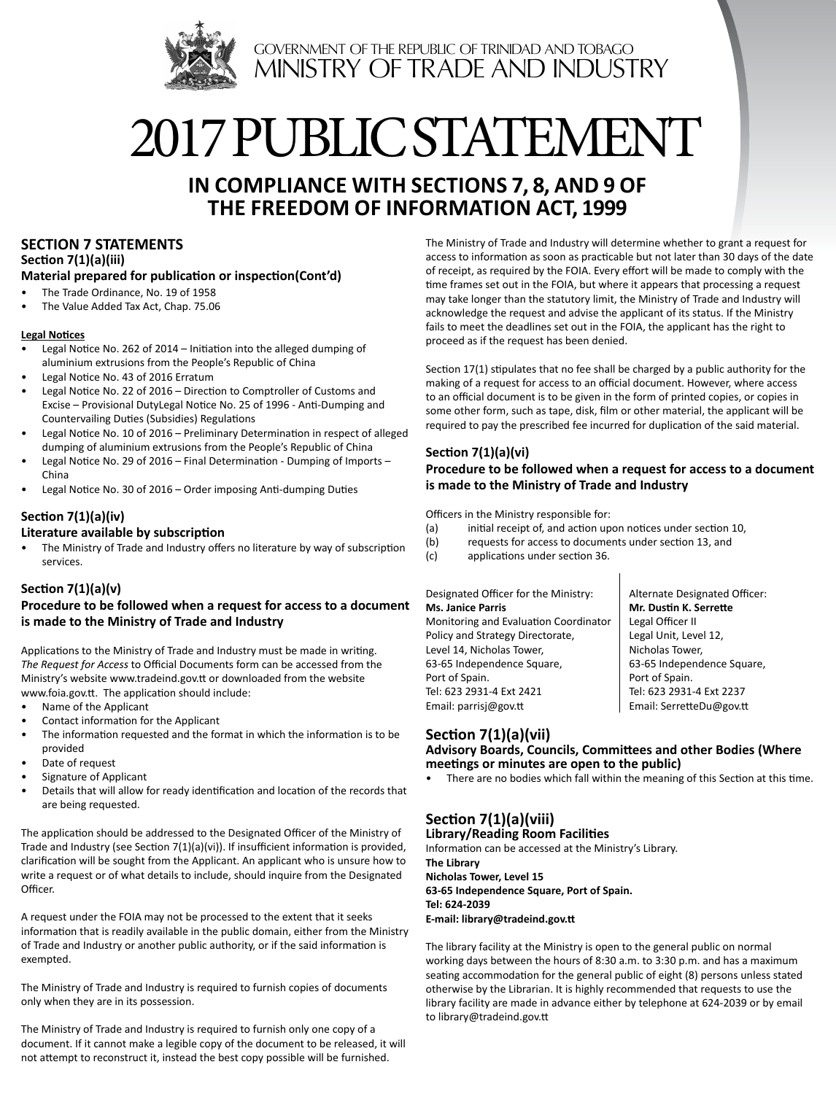

# 2017 public STATEMENT

# **In Compliance with Sections 7, 8, and 9 of The Freedom of Information Act, 1999**

# **SECTION 7 STATEMENTS**

**Section 7(1)(a)(iii)**

## **Material prepared for publication or inspection(Cont'd)**

- The Trade Ordinance, No. 19 of 1958
- The Value Added Tax Act, Chap. 75.06

#### **Legal Notices**

- Legal Notice No. 262 of 2014 Initiation into the alleged dumping of aluminium extrusions from the People's Republic of China
- Legal Notice No. 43 of 2016 Erratum
- Legal Notice No. 22 of 2016 Direction to Comptroller of Customs and Excise – Provisional DutyLegal Notice No. 25 of 1996 - Anti-Dumping and Countervailing Duties (Subsidies) Regulations
- Legal Notice No. 10 of 2016 Preliminary Determination in respect of alleged dumping of aluminium extrusions from the People's Republic of China
- Legal Notice No. 29 of 2016 Final Determination Dumping of Imports China
- Legal Notice No. 30 of 2016 Order imposing Anti-dumping Duties

### **Section 7(1)(a)(iv)**

#### **Literature available by subscription**

The Ministry of Trade and Industry offers no literature by way of subscription services.

#### **Section 7(1)(a)(v)**

**Procedure to be followed when a request for access to a document is made to the Ministry of Trade and Industry**

Applications to the Ministry of Trade and Industry must be made in writing. *The Request for Access* to Official Documents form can be accessed from the Ministry's website www.tradeind.gov.tt or downloaded from the website www.foia.gov.tt. The application should include:

- Name of the Applicant
- Contact information for the Applicant
- The information requested and the format in which the information is to be provided
- Date of request
- Signature of Applicant
- Details that will allow for ready identification and location of the records that are being requested.

The application should be addressed to the Designated Officer of the Ministry of Trade and Industry (see Section 7(1)(a)(vi)). If insufficient information is provided, clarification will be sought from the Applicant. An applicant who is unsure how to write a request or of what details to include, should inquire from the Designated Officer.

A request under the FOIA may not be processed to the extent that it seeks information that is readily available in the public domain, either from the Ministry of Trade and Industry or another public authority, or if the said information is exempted.

The Ministry of Trade and Industry is required to furnish copies of documents only when they are in its possession.

The Ministry of Trade and Industry is required to furnish only one copy of a document. If it cannot make a legible copy of the document to be released, it will not attempt to reconstruct it, instead the best copy possible will be furnished.

The Ministry of Trade and Industry will determine whether to grant a request for access to information as soon as practicable but not later than 30 days of the date of receipt, as required by the FOIA. Every effort will be made to comply with the time frames set out in the FOIA, but where it appears that processing a request may take longer than the statutory limit, the Ministry of Trade and Industry will acknowledge the request and advise the applicant of its status. If the Ministry fails to meet the deadlines set out in the FOIA, the applicant has the right to proceed as if the request has been denied.

Section 17(1) stipulates that no fee shall be charged by a public authority for the making of a request for access to an official document. However, where access to an official document is to be given in the form of printed copies, or copies in some other form, such as tape, disk, film or other material, the applicant will be required to pay the prescribed fee incurred for duplication of the said material.

#### **Section 7(1)(a)(vi)**

#### **Procedure to be followed when a request for access to a document is made to the Ministry of Trade and Industry**

Officers in the Ministry responsible for:

- (a) initial receipt of, and action upon notices under section 10,
- (b) requests for access to documents under section 13, and
- (c) applications under section 36.

#### Designated Officer for the Ministry: **Ms. Janice Parris**

Monitoring and Evaluation Coordinator Policy and Strategy Directorate, Level 14, Nicholas Tower, 63-65 Independence Square, Port of Spain. Tel: 623 2931-4 Ext 2421 Email: parrisj@gov.tt

Alternate Designated Officer: **Mr. Dustin K. Serrette** Legal Officer II Legal Unit, Level 12, Nicholas Tower, 63-65 Independence Square, Port of Spain. Tel: 623 2931-4 Ext 2237 Email: SerretteDu@gov.tt

# **Section 7(1)(a)(vii)**

**Advisory Boards, Councils, Committees and other Bodies (Where meetings or minutes are open to the public)** 

There are no bodies which fall within the meaning of this Section at this time.

# **Section 7(1)(a)(viii)**

**Library/Reading Room Facilities** Information can be accessed at the Ministry's Library. **The Library Nicholas Tower, Level 15 63-65 Independence Square, Port of Spain. Tel: 624-2039 E-mail: library@tradeind.gov.tt** 

The library facility at the Ministry is open to the general public on normal working days between the hours of 8:30 a.m. to 3:30 p.m. and has a maximum seating accommodation for the general public of eight (8) persons unless stated otherwise by the Librarian. It is highly recommended that requests to use the library facility are made in advance either by telephone at 624-2039 or by email to library@tradeind.gov.tt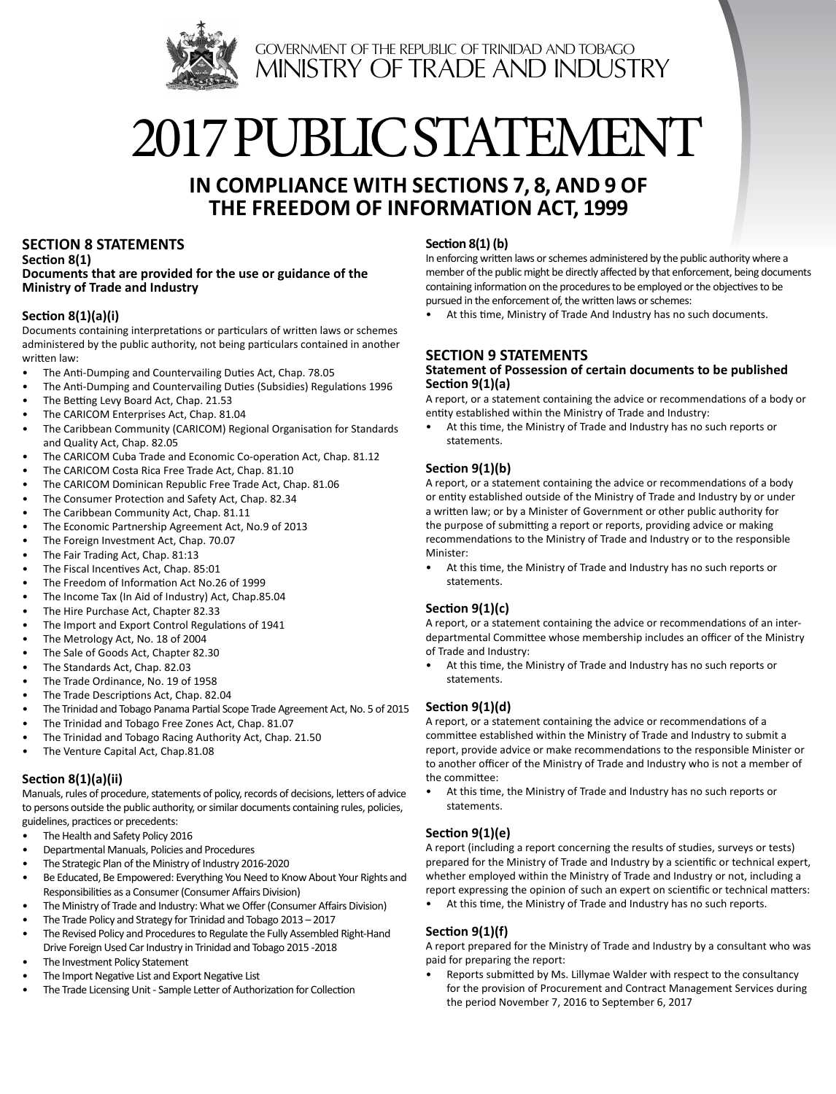

# 2017 public STATEMENT

# **In Compliance with Sections 7, 8, and 9 of The Freedom of Information Act, 1999**

## **SECTION 8 STATEMENTS**

**Section 8(1) Documents that are provided for the use or guidance of the Ministry of Trade and Industry**

### **Section 8(1)(a)(i)**

Documents containing interpretations or particulars of written laws or schemes administered by the public authority, not being particulars contained in another written law:

- The Anti-Dumping and Countervailing Duties Act, Chap. 78.05
- The Anti-Dumping and Countervailing Duties (Subsidies) Regulations 1996
- The Betting Levy Board Act, Chap. 21.53
- The CARICOM Enterprises Act, Chap. 81.04
- The Caribbean Community (CARICOM) Regional Organisation for Standards and Quality Act, Chap. 82.05
- The CARICOM Cuba Trade and Economic Co-operation Act, Chap. 81.12
- The CARICOM Costa Rica Free Trade Act, Chap. 81.10
- The CARICOM Dominican Republic Free Trade Act, Chap. 81.06
- The Consumer Protection and Safety Act, Chap. 82.34
- The Caribbean Community Act, Chap. 81.11
- The Economic Partnership Agreement Act, No.9 of 2013
- The Foreign Investment Act, Chap. 70.07
- The Fair Trading Act, Chap. 81:13
- The Fiscal Incentives Act, Chap. 85:01
- The Freedom of Information Act No.26 of 1999
- The Income Tax (In Aid of Industry) Act, Chap.85.04
- The Hire Purchase Act, Chapter 82.33
- The Import and Export Control Regulations of 1941
- The Metrology Act, No. 18 of 2004
- The Sale of Goods Act, Chapter 82.30
- The Standards Act, Chap. 82.03
- The Trade Ordinance, No. 19 of 1958
- The Trade Descriptions Act, Chap. 82.04
- The Trinidad and Tobago Panama Partial Scope Trade Agreement Act, No. 5 of 2015
- The Trinidad and Tobago Free Zones Act, Chap. 81.07
- The Trinidad and Tobago Racing Authority Act, Chap. 21.50
- The Venture Capital Act, Chap.81.08

#### **Section 8(1)(a)(ii)**

Manuals, rules of procedure, statements of policy, records of decisions, letters of advice to persons outside the public authority, or similar documents containing rules, policies, guidelines, practices or precedents:

- The Health and Safety Policy 2016
- Departmental Manuals, Policies and Procedures
- The Strategic Plan of the Ministry of Industry 2016-2020
- Be Educated, Be Empowered: Everything You Need to Know About Your Rights and Responsibilities as a Consumer (Consumer Affairs Division)
- The Ministry of Trade and Industry: What we Offer (Consumer Affairs Division)
- The Trade Policy and Strategy for Trinidad and Tobago 2013 2017
- The Revised Policy and Procedures to Regulate the Fully Assembled Right-Hand Drive Foreign Used Car Industry in Trinidad and Tobago 2015 -2018
- The Investment Policy Statement
- The Import Negative List and Export Negative List
- The Trade Licensing Unit Sample Letter of Authorization for Collection

#### **Section 8(1) (b)**

In enforcing written laws or schemes administered by the public authority where a member of the public might be directly affected by that enforcement, being documents containing information on the procedures to be employed or the objectives to be pursued in the enforcement of, the written laws or schemes:

At this time, Ministry of Trade And Industry has no such documents.

## **SECTION 9 STATEMENTS**

#### **Statement of Possession of certain documents to be published Section 9(1)(a)**

A report, or a statement containing the advice or recommendations of a body or entity established within the Ministry of Trade and Industry:

• At this time, the Ministry of Trade and Industry has no such reports or statements.

### **Section 9(1)(b)**

A report, or a statement containing the advice or recommendations of a body or entity established outside of the Ministry of Trade and Industry by or under a written law; or by a Minister of Government or other public authority for the purpose of submitting a report or reports, providing advice or making recommendations to the Ministry of Trade and Industry or to the responsible Minister:

• At this time, the Ministry of Trade and Industry has no such reports or statements.

### **Section 9(1)(c)**

A report, or a statement containing the advice or recommendations of an interdepartmental Committee whose membership includes an officer of the Ministry of Trade and Industry:

• At this time, the Ministry of Trade and Industry has no such reports or statements.

#### **Section 9(1)(d)**

A report, or a statement containing the advice or recommendations of a committee established within the Ministry of Trade and Industry to submit a report, provide advice or make recommendations to the responsible Minister or to another officer of the Ministry of Trade and Industry who is not a member of the committee:

• At this time, the Ministry of Trade and Industry has no such reports or statements.

### **Section 9(1)(e)**

A report (including a report concerning the results of studies, surveys or tests) prepared for the Ministry of Trade and Industry by a scientific or technical expert, whether employed within the Ministry of Trade and Industry or not, including a report expressing the opinion of such an expert on scientific or technical matters:

At this time, the Ministry of Trade and Industry has no such reports.

#### **Section 9(1)(f)**

A report prepared for the Ministry of Trade and Industry by a consultant who was paid for preparing the report:

• Reports submitted by Ms. Lillymae Walder with respect to the consultancy for the provision of Procurement and Contract Management Services during the period November 7, 2016 to September 6, 2017